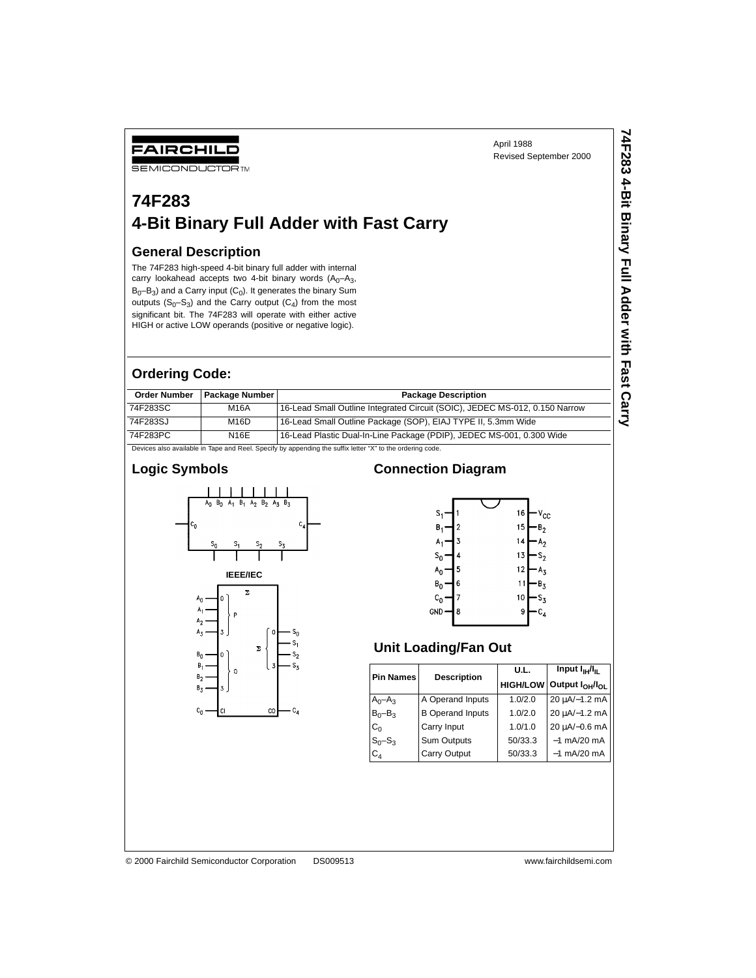## FAIRCHILD

## **74F283 4-Bit Binary Full Adder with Fast Carry**

#### **General Description**

#### **Ordering Code:**

| April 1988<br><b>FAIRCHILD</b><br>Revised September 2000<br><b>SEMICONDUCTORTM</b>                                                                                                                                                                                                                                                                                                                                                      |                |                                                                                                           |              |  |  |  |  |  |  |
|-----------------------------------------------------------------------------------------------------------------------------------------------------------------------------------------------------------------------------------------------------------------------------------------------------------------------------------------------------------------------------------------------------------------------------------------|----------------|-----------------------------------------------------------------------------------------------------------|--------------|--|--|--|--|--|--|
| 74F283<br>4-Bit Binary Full Adder with Fast Carry                                                                                                                                                                                                                                                                                                                                                                                       |                |                                                                                                           |              |  |  |  |  |  |  |
| <b>General Description</b><br>The 74F283 high-speed 4-bit binary full adder with internal<br>carry lookahead accepts two 4-bit binary words $(A_0-A_3,$<br>$B_0 - B_3$ ) and a Carry input (C <sub>0</sub> ). It generates the binary Sum<br>outputs $(S_0-S_3)$ and the Carry output $(C_4)$ from the most<br>significant bit. The 74F283 will operate with either active<br>HIGH or active LOW operands (positive or negative logic). |                |                                                                                                           |              |  |  |  |  |  |  |
| <b>Ordering Code:</b>                                                                                                                                                                                                                                                                                                                                                                                                                   |                |                                                                                                           |              |  |  |  |  |  |  |
| <b>Order Number</b>                                                                                                                                                                                                                                                                                                                                                                                                                     | Package Number | <b>Package Description</b>                                                                                |              |  |  |  |  |  |  |
| 74F283SC                                                                                                                                                                                                                                                                                                                                                                                                                                | <b>M16A</b>    | 16-Lead Small Outline Integrated Circuit (SOIC), JEDEC MS-012, 0.150 Narrow                               | <b>Carry</b> |  |  |  |  |  |  |
| 74F283SJ                                                                                                                                                                                                                                                                                                                                                                                                                                | M16D           | 16-Lead Small Outline Package (SOP), EIAJ TYPE II, 5.3mm Wide                                             |              |  |  |  |  |  |  |
| 74F283PC                                                                                                                                                                                                                                                                                                                                                                                                                                | <b>N16E</b>    | 16-Lead Plastic Dual-In-Line Package (PDIP), JEDEC MS-001, 0.300 Wide                                     |              |  |  |  |  |  |  |
|                                                                                                                                                                                                                                                                                                                                                                                                                                         |                | Devices also available in Tape and Reel. Specify by appending the suffix letter "X" to the ordering code. |              |  |  |  |  |  |  |

#### **Logic Symbols**



#### **Connection Diagram**



#### **Unit Loading/Fan Out**

|                  |                         | U.L.    | Input $I_{\text{H}}/I_{\text{H}}$ |  |  |
|------------------|-------------------------|---------|-----------------------------------|--|--|
| <b>Pin Names</b> | <b>Description</b>      |         | HIGH/LOW Output $I_{OH}/I_{OL}$   |  |  |
| $A_0 - A_3$      | A Operand Inputs        | 1.0/2.0 | 20 µA/-1.2 mA                     |  |  |
| $B_0 - B_3$      | <b>B</b> Operand Inputs | 1.0/2.0 | 20 µA/-1.2 mA                     |  |  |
| $C_0$            | Carry Input             | 1.0/1.0 | 20 µA/-0.6 mA                     |  |  |
| $S_0 - S_3$      | Sum Outputs             | 50/33.3 | $-1$ mA/20 mA                     |  |  |
| $C_{4}$          | <b>Carry Output</b>     | 50/33.3 | $-1$ mA/20 mA                     |  |  |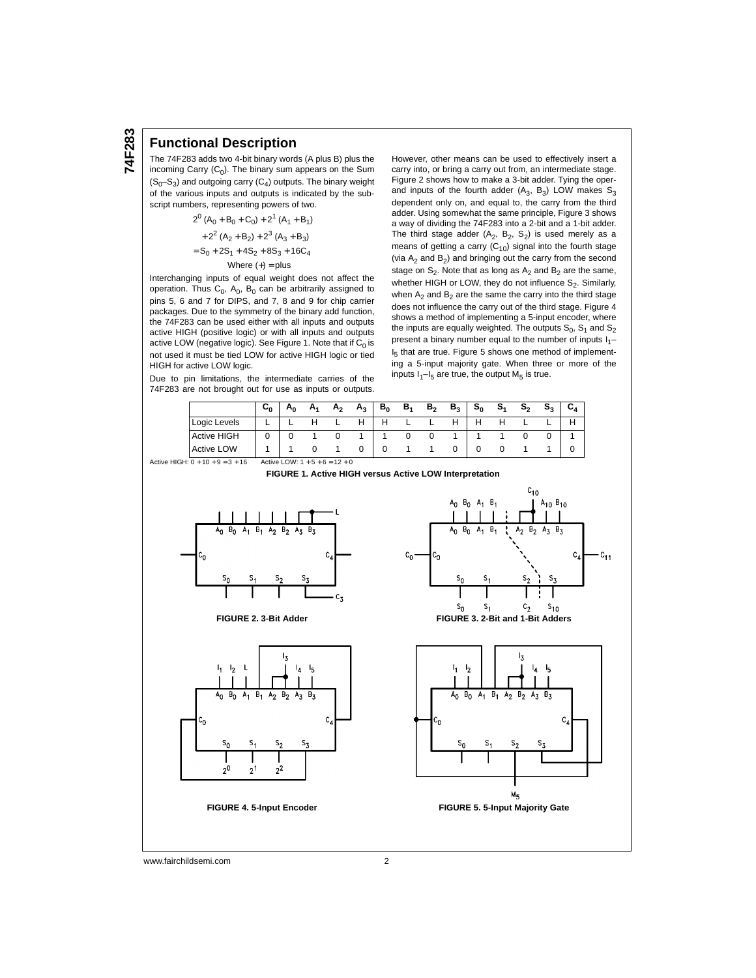#### **Functional Description**

The 74F283 adds two 4-bit binary words (A plus B) plus the incoming Carry  $(C_0)$ . The binary sum appears on the Sum  $(S_0-S_3)$  and outgoing carry  $(C_4)$  outputs. The binary weight of the various inputs and outputs is indicated by the subscript numbers, representing powers of two.

$$
2^{0} (A_0 + B_0 + C_0) + 2^{1} (A_1 + B_1)
$$
  
+2<sup>2</sup> (A<sub>2</sub> + B<sub>2</sub>) + 2<sup>3</sup> (A<sub>3</sub> + B<sub>3</sub>)  
= S<sub>0</sub> + 2S<sub>1</sub> + 4S<sub>2</sub> + 8S<sub>3</sub> + 16C<sub>4</sub>  
Where (+) = plus

Interchanging inputs of equal weight does not affect the operation. Thus  $C_0$ ,  $A_0$ ,  $B_0$  can be arbitrarily assigned to pins 5, 6 and 7 for DIPS, and 7, 8 and 9 for chip carrier packages. Due to the symmetry of the binary add function, the 74F283 can be used either with all inputs and outputs active HIGH (positive logic) or with all inputs and outputs active LOW (negative logic). See Figure 1. Note that if  $C_0$  is not used it must be tied LOW for active HIGH logic or tied HIGH for active LOW logic.

Due to pin limitations, the intermediate carries of the 74F283 are not brought out for use as inputs or outputs. However, other means can be used to effectively insert a carry into, or bring a carry out from, an intermediate stage. Figure 2 shows how to make a 3-bit adder. Tying the operand inputs of the fourth adder  $(A_3, B_3)$  LOW makes  $S_3$ dependent only on, and equal to, the carry from the third adder. Using somewhat the same principle, Figure 3 shows a way of dividing the 74F283 into a 2-bit and a 1-bit adder. The third stage adder  $(A_2, B_2, S_2)$  is used merely as a means of getting a carry  $(C_{10})$  signal into the fourth stage (via  $A_2$  and  $B_2$ ) and bringing out the carry from the second stage on  $S_2$ . Note that as long as  $A_2$  and  $B_2$  are the same, whether HIGH or LOW, they do not influence  $S_2$ . Similarly, when  $A_2$  and  $B_2$  are the same the carry into the third stage does not influence the carry out of the third stage. Figure 4 shows a method of implementing a 5-input encoder, where the inputs are equally weighted. The outputs  $S_0$ ,  $S_1$  and  $S_2$ present a binary number equal to the number of inputs  $I_1$ – I<sub>5</sub> that are true. Figure 5 shows one method of implementing a 5-input majority gate. When three or more of the inputs  $I_1-I_5$  are true, the output  $M_5$  is true.

 $c_{11}$ 

|                    | $\mathbf{c_{0}}$ | Α٨ | A۱ | A <sub>2</sub> | $A_3$ | $B_0$ | $B_1$ | B <sub>2</sub> | $B_3$ | $S_0$ | $S_1$ | $S_2$ | $\mathtt{s}_3$ | C4 |
|--------------------|------------------|----|----|----------------|-------|-------|-------|----------------|-------|-------|-------|-------|----------------|----|
| Logic Levels       |                  |    |    |                |       |       |       |                |       |       |       |       |                | н  |
| <b>Active HIGH</b> |                  |    |    |                |       |       |       |                |       |       |       |       |                |    |
| <b>Active LOW</b>  |                  |    |    |                |       |       |       |                |       |       |       |       |                |    |



www.fairchildsemi.com 2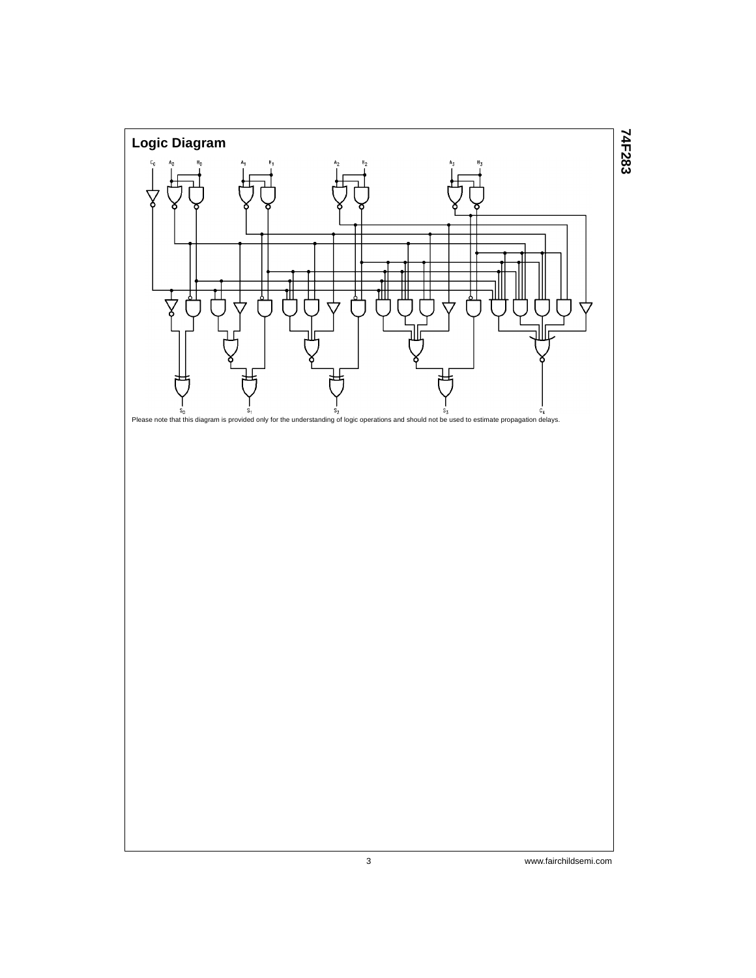